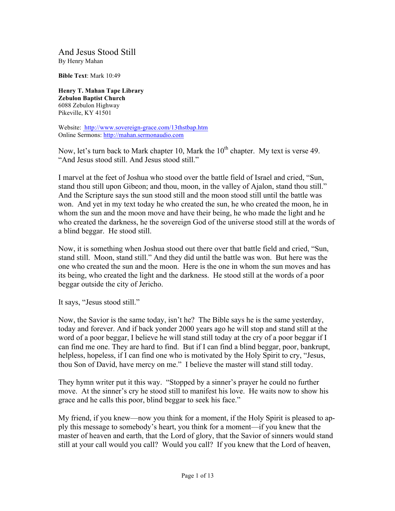And Jesus Stood Still By Henry Mahan

**Bible Text**: Mark 10:49

**Henry T. Mahan Tape Library Zebulon Baptist Church** 6088 Zebulon Highway Pikeville, KY 41501

Website: http://www.sovereign-grace.com/13thstbap.htm Online Sermons: http://mahan.sermonaudio.com

Now, let's turn back to Mark chapter 10, Mark the  $10<sup>th</sup>$  chapter. My text is verse 49. "And Jesus stood still. And Jesus stood still."

I marvel at the feet of Joshua who stood over the battle field of Israel and cried, "Sun, stand thou still upon Gibeon; and thou, moon, in the valley of Ajalon, stand thou still." And the Scripture says the sun stood still and the moon stood still until the battle was won. And yet in my text today he who created the sun, he who created the moon, he in whom the sun and the moon move and have their being, he who made the light and he who created the darkness, he the sovereign God of the universe stood still at the words of a blind beggar. He stood still.

Now, it is something when Joshua stood out there over that battle field and cried, "Sun, stand still. Moon, stand still." And they did until the battle was won. But here was the one who created the sun and the moon. Here is the one in whom the sun moves and has its being, who created the light and the darkness. He stood still at the words of a poor beggar outside the city of Jericho.

It says, "Jesus stood still."

Now, the Savior is the same today, isn't he? The Bible says he is the same yesterday, today and forever. And if back yonder 2000 years ago he will stop and stand still at the word of a poor beggar, I believe he will stand still today at the cry of a poor beggar if I can find me one. They are hard to find. But if I can find a blind beggar, poor, bankrupt, helpless, hopeless, if I can find one who is motivated by the Holy Spirit to cry, "Jesus, thou Son of David, have mercy on me." I believe the master will stand still today.

They hymn writer put it this way. "Stopped by a sinner's prayer he could no further move. At the sinner's cry he stood still to manifest his love. He waits now to show his grace and he calls this poor, blind beggar to seek his face."

My friend, if you knew—now you think for a moment, if the Holy Spirit is pleased to apply this message to somebody's heart, you think for a moment—if you knew that the master of heaven and earth, that the Lord of glory, that the Savior of sinners would stand still at your call would you call? Would you call? If you knew that the Lord of heaven,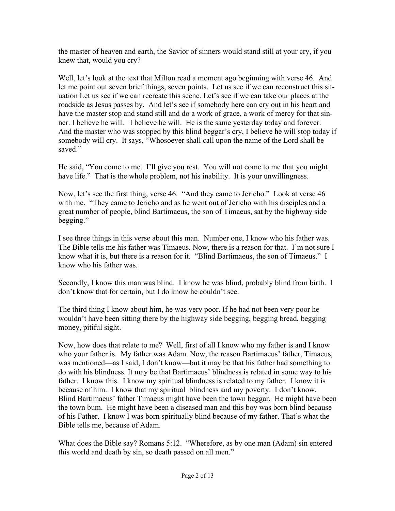the master of heaven and earth, the Savior of sinners would stand still at your cry, if you knew that, would you cry?

Well, let's look at the text that Milton read a moment ago beginning with verse 46. And let me point out seven brief things, seven points. Let us see if we can reconstruct this situation Let us see if we can recreate this scene. Let's see if we can take our places at the roadside as Jesus passes by. And let's see if somebody here can cry out in his heart and have the master stop and stand still and do a work of grace, a work of mercy for that sinner. I believe he will. I believe he will. He is the same yesterday today and forever. And the master who was stopped by this blind beggar's cry, I believe he will stop today if somebody will cry. It says, "Whosoever shall call upon the name of the Lord shall be saved."

He said, "You come to me. I'll give you rest. You will not come to me that you might have life." That is the whole problem, not his inability. It is your unwillingness.

Now, let's see the first thing, verse 46. "And they came to Jericho." Look at verse 46 with me. "They came to Jericho and as he went out of Jericho with his disciples and a great number of people, blind Bartimaeus, the son of Timaeus, sat by the highway side begging."

I see three things in this verse about this man. Number one, I know who his father was. The Bible tells me his father was Timaeus. Now, there is a reason for that. I'm not sure I know what it is, but there is a reason for it. "Blind Bartimaeus, the son of Timaeus." I know who his father was.

Secondly, I know this man was blind. I know he was blind, probably blind from birth. I don't know that for certain, but I do know he couldn't see.

The third thing I know about him, he was very poor. If he had not been very poor he wouldn't have been sitting there by the highway side begging, begging bread, begging money, pitiful sight.

Now, how does that relate to me? Well, first of all I know who my father is and I know who your father is. My father was Adam. Now, the reason Bartimaeus' father, Timaeus, was mentioned—as I said, I don't know—but it may be that his father had something to do with his blindness. It may be that Bartimaeus' blindness is related in some way to his father. I know this. I know my spiritual blindness is related to my father. I know it is because of him. I know that my spiritual blindness and my poverty. I don't know. Blind Bartimaeus' father Timaeus might have been the town beggar. He might have been the town bum. He might have been a diseased man and this boy was born blind because of his Father. I know I was born spiritually blind because of my father. That's what the Bible tells me, because of Adam.

What does the Bible say? Romans 5:12. "Wherefore, as by one man (Adam) sin entered this world and death by sin, so death passed on all men."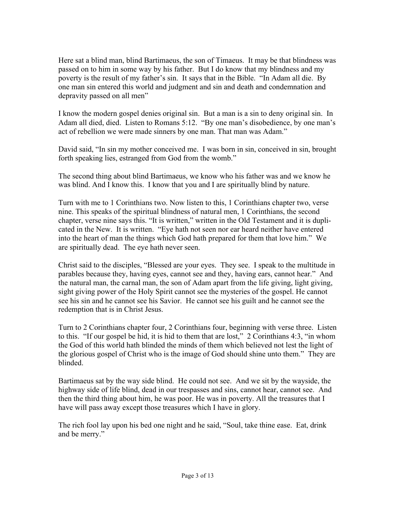Here sat a blind man, blind Bartimaeus, the son of Timaeus. It may be that blindness was passed on to him in some way by his father. But I do know that my blindness and my poverty is the result of my father's sin. It says that in the Bible. "In Adam all die. By one man sin entered this world and judgment and sin and death and condemnation and depravity passed on all men"

I know the modern gospel denies original sin. But a man is a sin to deny original sin. In Adam all died, died. Listen to Romans 5:12. "By one man's disobedience, by one man's act of rebellion we were made sinners by one man. That man was Adam."

David said, "In sin my mother conceived me. I was born in sin, conceived in sin, brought forth speaking lies, estranged from God from the womb."

The second thing about blind Bartimaeus, we know who his father was and we know he was blind. And I know this. I know that you and I are spiritually blind by nature.

Turn with me to 1 Corinthians two. Now listen to this, 1 Corinthians chapter two, verse nine. This speaks of the spiritual blindness of natural men, 1 Corinthians, the second chapter, verse nine says this. "It is written," written in the Old Testament and it is duplicated in the New. It is written. "Eye hath not seen nor ear heard neither have entered into the heart of man the things which God hath prepared for them that love him." We are spiritually dead. The eye hath never seen.

Christ said to the disciples, "Blessed are your eyes. They see. I speak to the multitude in parables because they, having eyes, cannot see and they, having ears, cannot hear." And the natural man, the carnal man, the son of Adam apart from the life giving, light giving, sight giving power of the Holy Spirit cannot see the mysteries of the gospel. He cannot see his sin and he cannot see his Savior. He cannot see his guilt and he cannot see the redemption that is in Christ Jesus.

Turn to 2 Corinthians chapter four, 2 Corinthians four, beginning with verse three. Listen to this. "If our gospel be hid, it is hid to them that are lost," 2 Corinthians 4:3, "in whom the God of this world hath blinded the minds of them which believed not lest the light of the glorious gospel of Christ who is the image of God should shine unto them." They are blinded.

Bartimaeus sat by the way side blind. He could not see. And we sit by the wayside, the highway side of life blind, dead in our trespasses and sins, cannot hear, cannot see. And then the third thing about him, he was poor. He was in poverty. All the treasures that I have will pass away except those treasures which I have in glory.

The rich fool lay upon his bed one night and he said, "Soul, take thine ease. Eat, drink and be merry."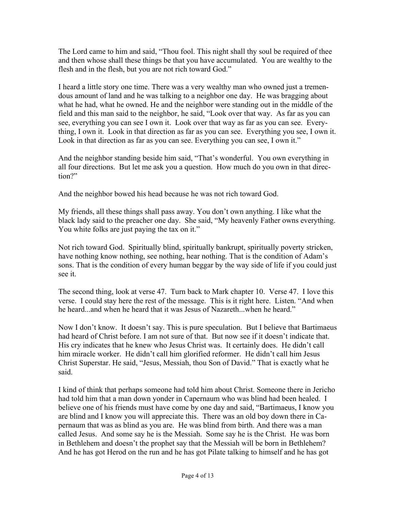The Lord came to him and said, "Thou fool. This night shall thy soul be required of thee and then whose shall these things be that you have accumulated. You are wealthy to the flesh and in the flesh, but you are not rich toward God."

I heard a little story one time. There was a very wealthy man who owned just a tremendous amount of land and he was talking to a neighbor one day. He was bragging about what he had, what he owned. He and the neighbor were standing out in the middle of the field and this man said to the neighbor, he said, "Look over that way. As far as you can see, everything you can see I own it. Look over that way as far as you can see. Everything, I own it. Look in that direction as far as you can see. Everything you see, I own it. Look in that direction as far as you can see. Everything you can see, I own it."

And the neighbor standing beside him said, "That's wonderful. You own everything in all four directions. But let me ask you a question. How much do you own in that direction?"

And the neighbor bowed his head because he was not rich toward God.

My friends, all these things shall pass away. You don't own anything. I like what the black lady said to the preacher one day. She said, "My heavenly Father owns everything. You white folks are just paying the tax on it."

Not rich toward God. Spiritually blind, spiritually bankrupt, spiritually poverty stricken, have nothing know nothing, see nothing, hear nothing. That is the condition of Adam's sons. That is the condition of every human beggar by the way side of life if you could just see it.

The second thing, look at verse 47. Turn back to Mark chapter 10. Verse 47. I love this verse. I could stay here the rest of the message. This is it right here. Listen. "And when he heard...and when he heard that it was Jesus of Nazareth...when he heard."

Now I don't know. It doesn't say. This is pure speculation. But I believe that Bartimaeus had heard of Christ before. I am not sure of that. But now see if it doesn't indicate that. His cry indicates that he knew who Jesus Christ was. It certainly does. He didn't call him miracle worker. He didn't call him glorified reformer. He didn't call him Jesus Christ Superstar. He said, "Jesus, Messiah, thou Son of David." That is exactly what he said.

I kind of think that perhaps someone had told him about Christ. Someone there in Jericho had told him that a man down yonder in Capernaum who was blind had been healed. I believe one of his friends must have come by one day and said, "Bartimaeus, I know you are blind and I know you will appreciate this. There was an old boy down there in Capernaum that was as blind as you are. He was blind from birth. And there was a man called Jesus. And some say he is the Messiah. Some say he is the Christ. He was born in Bethlehem and doesn't the prophet say that the Messiah will be born in Bethlehem? And he has got Herod on the run and he has got Pilate talking to himself and he has got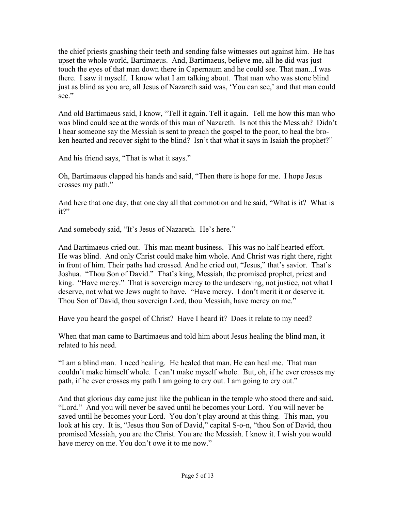the chief priests gnashing their teeth and sending false witnesses out against him. He has upset the whole world, Bartimaeus. And, Bartimaeus, believe me, all he did was just touch the eyes of that man down there in Capernaum and he could see. That man...I was there. I saw it myself. I know what I am talking about. That man who was stone blind just as blind as you are, all Jesus of Nazareth said was, 'You can see,' and that man could see."

And old Bartimaeus said, I know, "Tell it again. Tell it again. Tell me how this man who was blind could see at the words of this man of Nazareth. Is not this the Messiah? Didn't I hear someone say the Messiah is sent to preach the gospel to the poor, to heal the broken hearted and recover sight to the blind? Isn't that what it says in Isaiah the prophet?"

And his friend says, "That is what it says."

Oh, Bartimaeus clapped his hands and said, "Then there is hope for me. I hope Jesus crosses my path."

And here that one day, that one day all that commotion and he said, "What is it? What is it?"

And somebody said, "It's Jesus of Nazareth. He's here."

And Bartimaeus cried out. This man meant business. This was no half hearted effort. He was blind. And only Christ could make him whole. And Christ was right there, right in front of him. Their paths had crossed. And he cried out, "Jesus," that's savior. That's Joshua. "Thou Son of David." That's king, Messiah, the promised prophet, priest and king. "Have mercy." That is sovereign mercy to the undeserving, not justice, not what I deserve, not what we Jews ought to have. "Have mercy. I don't merit it or deserve it. Thou Son of David, thou sovereign Lord, thou Messiah, have mercy on me."

Have you heard the gospel of Christ? Have I heard it? Does it relate to my need?

When that man came to Bartimaeus and told him about Jesus healing the blind man, it related to his need.

"I am a blind man. I need healing. He healed that man. He can heal me. That man couldn't make himself whole. I can't make myself whole. But, oh, if he ever crosses my path, if he ever crosses my path I am going to cry out. I am going to cry out."

And that glorious day came just like the publican in the temple who stood there and said, "Lord." And you will never be saved until he becomes your Lord. You will never be saved until he becomes your Lord. You don't play around at this thing. This man, you look at his cry. It is, "Jesus thou Son of David," capital S-o-n, "thou Son of David, thou promised Messiah, you are the Christ. You are the Messiah. I know it. I wish you would have mercy on me. You don't owe it to me now."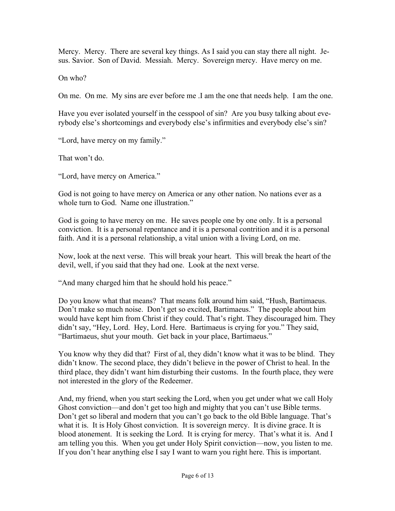Mercy. Mercy. There are several key things. As I said you can stay there all night. Jesus. Savior. Son of David. Messiah. Mercy. Sovereign mercy. Have mercy on me.

On who?

On me. On me. My sins are ever before me .I am the one that needs help. I am the one.

Have you ever isolated yourself in the cesspool of sin? Are you busy talking about everybody else's shortcomings and everybody else's infirmities and everybody else's sin?

"Lord, have mercy on my family."

That won't do.

"Lord, have mercy on America."

God is not going to have mercy on America or any other nation. No nations ever as a whole turn to God. Name one illustration."

God is going to have mercy on me. He saves people one by one only. It is a personal conviction. It is a personal repentance and it is a personal contrition and it is a personal faith. And it is a personal relationship, a vital union with a living Lord, on me.

Now, look at the next verse. This will break your heart. This will break the heart of the devil, well, if you said that they had one. Look at the next verse.

"And many charged him that he should hold his peace."

Do you know what that means? That means folk around him said, "Hush, Bartimaeus. Don't make so much noise. Don't get so excited, Bartimaeus." The people about him would have kept him from Christ if they could. That's right. They discouraged him. They didn't say, "Hey, Lord. Hey, Lord. Here. Bartimaeus is crying for you." They said, "Bartimaeus, shut your mouth. Get back in your place, Bartimaeus."

You know why they did that? First of al, they didn't know what it was to be blind. They didn't know. The second place, they didn't believe in the power of Christ to heal. In the third place, they didn't want him disturbing their customs. In the fourth place, they were not interested in the glory of the Redeemer.

And, my friend, when you start seeking the Lord, when you get under what we call Holy Ghost conviction—and don't get too high and mighty that you can't use Bible terms. Don't get so liberal and modern that you can't go back to the old Bible language. That's what it is. It is Holy Ghost conviction. It is sovereign mercy. It is divine grace. It is blood atonement. It is seeking the Lord. It is crying for mercy. That's what it is. And I am telling you this. When you get under Holy Spirit conviction—now, you listen to me. If you don't hear anything else I say I want to warn you right here. This is important.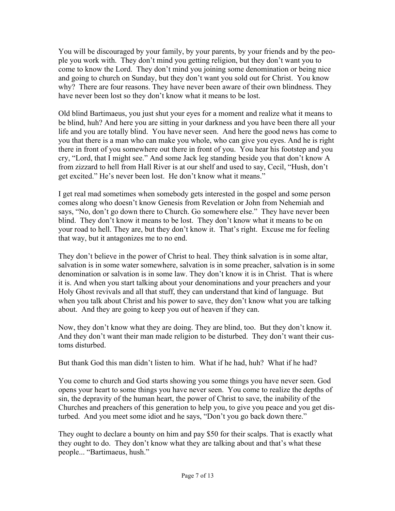You will be discouraged by your family, by your parents, by your friends and by the people you work with. They don't mind you getting religion, but they don't want you to come to know the Lord. They don't mind you joining some denomination or being nice and going to church on Sunday, but they don't want you sold out for Christ. You know why? There are four reasons. They have never been aware of their own blindness. They have never been lost so they don't know what it means to be lost.

Old blind Bartimaeus, you just shut your eyes for a moment and realize what it means to be blind, huh? And here you are sitting in your darkness and you have been there all your life and you are totally blind. You have never seen. And here the good news has come to you that there is a man who can make you whole, who can give you eyes. And he is right there in front of you somewhere out there in front of you. You hear his footstep and you cry, "Lord, that I might see." And some Jack leg standing beside you that don't know A from zizzard to hell from Hall River is at our shelf and used to say, Cecil, "Hush, don't get excited." He's never been lost. He don't know what it means."

I get real mad sometimes when somebody gets interested in the gospel and some person comes along who doesn't know Genesis from Revelation or John from Nehemiah and says, "No, don't go down there to Church. Go somewhere else." They have never been blind. They don't know it means to be lost. They don't know what it means to be on your road to hell. They are, but they don't know it. That's right. Excuse me for feeling that way, but it antagonizes me to no end.

They don't believe in the power of Christ to heal. They think salvation is in some altar, salvation is in some water somewhere, salvation is in some preacher, salvation is in some denomination or salvation is in some law. They don't know it is in Christ. That is where it is. And when you start talking about your denominations and your preachers and your Holy Ghost revivals and all that stuff, they can understand that kind of language. But when you talk about Christ and his power to save, they don't know what you are talking about. And they are going to keep you out of heaven if they can.

Now, they don't know what they are doing. They are blind, too. But they don't know it. And they don't want their man made religion to be disturbed. They don't want their customs disturbed.

But thank God this man didn't listen to him. What if he had, huh? What if he had?

You come to church and God starts showing you some things you have never seen. God opens your heart to some things you have never seen. You come to realize the depths of sin, the depravity of the human heart, the power of Christ to save, the inability of the Churches and preachers of this generation to help you, to give you peace and you get disturbed. And you meet some idiot and he says, "Don't you go back down there."

They ought to declare a bounty on him and pay \$50 for their scalps. That is exactly what they ought to do. They don't know what they are talking about and that's what these people... "Bartimaeus, hush."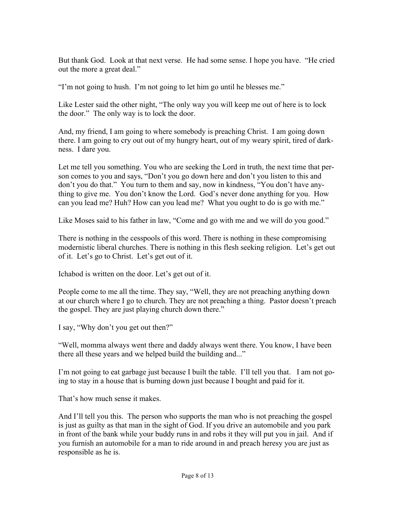But thank God. Look at that next verse. He had some sense. I hope you have. "He cried out the more a great deal."

"I'm not going to hush. I'm not going to let him go until he blesses me."

Like Lester said the other night, "The only way you will keep me out of here is to lock the door." The only way is to lock the door.

And, my friend, I am going to where somebody is preaching Christ. I am going down there. I am going to cry out out of my hungry heart, out of my weary spirit, tired of darkness. I dare you.

Let me tell you something. You who are seeking the Lord in truth, the next time that person comes to you and says, "Don't you go down here and don't you listen to this and don't you do that." You turn to them and say, now in kindness, "You don't have anything to give me. You don't know the Lord. God's never done anything for you. How can you lead me? Huh? How can you lead me? What you ought to do is go with me."

Like Moses said to his father in law, "Come and go with me and we will do you good."

There is nothing in the cesspools of this word. There is nothing in these compromising modernistic liberal churches. There is nothing in this flesh seeking religion. Let's get out of it. Let's go to Christ. Let's get out of it.

Ichabod is written on the door. Let's get out of it.

People come to me all the time. They say, "Well, they are not preaching anything down at our church where I go to church. They are not preaching a thing. Pastor doesn't preach the gospel. They are just playing church down there."

I say, "Why don't you get out then?"

"Well, momma always went there and daddy always went there. You know, I have been there all these years and we helped build the building and..."

I'm not going to eat garbage just because I built the table. I'll tell you that. I am not going to stay in a house that is burning down just because I bought and paid for it.

That's how much sense it makes.

And I'll tell you this. The person who supports the man who is not preaching the gospel is just as guilty as that man in the sight of God. If you drive an automobile and you park in front of the bank while your buddy runs in and robs it they will put you in jail. And if you furnish an automobile for a man to ride around in and preach heresy you are just as responsible as he is.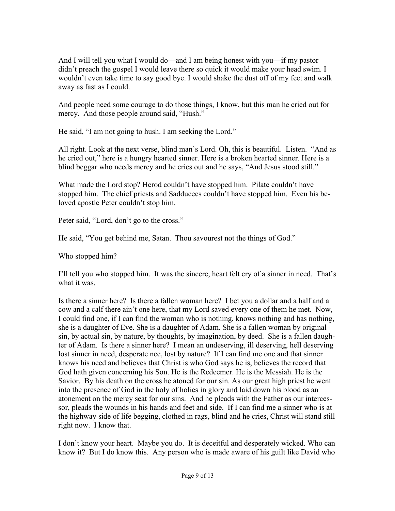And I will tell you what I would do—and I am being honest with you—if my pastor didn't preach the gospel I would leave there so quick it would make your head swim. I wouldn't even take time to say good bye. I would shake the dust off of my feet and walk away as fast as I could.

And people need some courage to do those things, I know, but this man he cried out for mercy. And those people around said, "Hush."

He said, "I am not going to hush. I am seeking the Lord."

All right. Look at the next verse, blind man's Lord. Oh, this is beautiful. Listen. "And as he cried out," here is a hungry hearted sinner. Here is a broken hearted sinner. Here is a blind beggar who needs mercy and he cries out and he says, "And Jesus stood still."

What made the Lord stop? Herod couldn't have stopped him. Pilate couldn't have stopped him. The chief priests and Sadducees couldn't have stopped him. Even his beloved apostle Peter couldn't stop him.

Peter said, "Lord, don't go to the cross."

He said, "You get behind me, Satan. Thou savourest not the things of God."

Who stopped him?

I'll tell you who stopped him. It was the sincere, heart felt cry of a sinner in need. That's what it was.

Is there a sinner here? Is there a fallen woman here? I bet you a dollar and a half and a cow and a calf there ain't one here, that my Lord saved every one of them he met. Now, I could find one, if I can find the woman who is nothing, knows nothing and has nothing, she is a daughter of Eve. She is a daughter of Adam. She is a fallen woman by original sin, by actual sin, by nature, by thoughts, by imagination, by deed. She is a fallen daughter of Adam. Is there a sinner here? I mean an undeserving, ill deserving, hell deserving lost sinner in need, desperate nee, lost by nature? If I can find me one and that sinner knows his need and believes that Christ is who God says he is, believes the record that God hath given concerning his Son. He is the Redeemer. He is the Messiah. He is the Savior. By his death on the cross he atoned for our sin. As our great high priest he went into the presence of God in the holy of holies in glory and laid down his blood as an atonement on the mercy seat for our sins. And he pleads with the Father as our intercessor, pleads the wounds in his hands and feet and side. If I can find me a sinner who is at the highway side of life begging, clothed in rags, blind and he cries, Christ will stand still right now. I know that.

I don't know your heart. Maybe you do. It is deceitful and desperately wicked. Who can know it? But I do know this. Any person who is made aware of his guilt like David who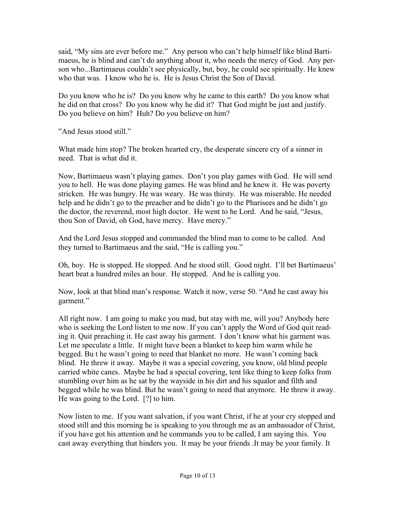said, "My sins are ever before me." Any person who can't help himself like blind Bartimaeus, he is blind and can't do anything about it, who needs the mercy of God. Any person who...Bartimaeus couldn't see physically, but, boy, he could see spiritually. He knew who that was. I know who he is. He is Jesus Christ the Son of David.

Do you know who he is? Do you know why he came to this earth? Do you know what he did on that cross? Do you know why he did it? That God might be just and justify. Do you believe on him? Huh? Do you believe on him?

"And Jesus stood still."

What made him stop? The broken hearted cry, the desperate sincere cry of a sinner in need. That is what did it.

Now, Bartimaeus wasn't playing games. Don't you play games with God. He will send you to hell. He was done playing games. He was blind and he knew it. He was poverty stricken. He was hungry. He was weary. He was thirsty. He was miserable. He needed help and he didn't go to the preacher and he didn't go to the Pharisees and he didn't go the doctor, the reverend, most high doctor. He went to he Lord. And he said, "Jesus, thou Son of David, oh God, have mercy. Have mercy."

And the Lord Jesus stopped and commanded the blind man to come to be called. And they turned to Bartimaeus and the said, "He is calling you."

Oh, boy. He is stopped. He stopped. And he stood still. Good night. I'll bet Bartimaeus' heart beat a hundred miles an hour. He stopped. And he is calling you.

Now, look at that blind man's response. Watch it now, verse 50. "And he cast away his garment."

All right now. I am going to make you mad, but stay with me, will you? Anybody here who is seeking the Lord listen to me now. If you can't apply the Word of God quit reading it. Quit preaching it. He cast away his garment. I don't know what his garment was. Let me speculate a little. It might have been a blanket to keep him warm while he begged. Bu t he wasn't going to need that blanket no more. He wasn't coming back blind. He threw it away. Maybe it was a special covering, you know, old blind people carried white canes. Maybe he had a special covering, tent like thing to keep folks from stumbling over him as he sat by the wayside in his dirt and his squalor and filth and begged while he was blind. But he wasn't going to need that anymore. He threw it away. He was going to the Lord. [?] to him.

Now listen to me. If you want salvation, if you want Christ, if he at your cry stopped and stood still and this morning he is speaking to you through me as an ambassador of Christ, if you have got his attention and he commands you to be called, I am saying this. You cast away everything that hinders you. It may be your friends .It may be your family. It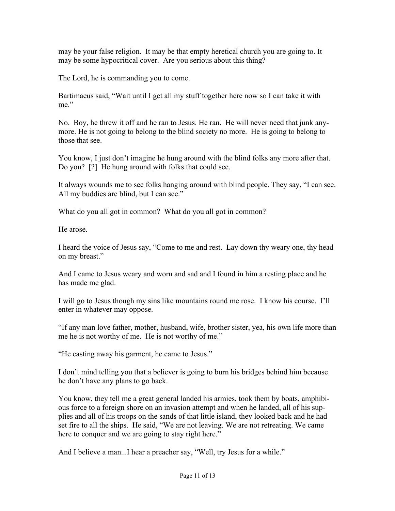may be your false religion. It may be that empty heretical church you are going to. It may be some hypocritical cover. Are you serious about this thing?

The Lord, he is commanding you to come.

Bartimaeus said, "Wait until I get all my stuff together here now so I can take it with me"

No. Boy, he threw it off and he ran to Jesus. He ran. He will never need that junk anymore. He is not going to belong to the blind society no more. He is going to belong to those that see.

You know, I just don't imagine he hung around with the blind folks any more after that. Do you? [?] He hung around with folks that could see.

It always wounds me to see folks hanging around with blind people. They say, "I can see. All my buddies are blind, but I can see."

What do you all got in common? What do you all got in common?

He arose.

I heard the voice of Jesus say, "Come to me and rest. Lay down thy weary one, thy head on my breast."

And I came to Jesus weary and worn and sad and I found in him a resting place and he has made me glad.

I will go to Jesus though my sins like mountains round me rose. I know his course. I'll enter in whatever may oppose.

"If any man love father, mother, husband, wife, brother sister, yea, his own life more than me he is not worthy of me. He is not worthy of me."

"He casting away his garment, he came to Jesus."

I don't mind telling you that a believer is going to burn his bridges behind him because he don't have any plans to go back.

You know, they tell me a great general landed his armies, took them by boats, amphibious force to a foreign shore on an invasion attempt and when he landed, all of his supplies and all of his troops on the sands of that little island, they looked back and he had set fire to all the ships. He said, "We are not leaving. We are not retreating. We came here to conquer and we are going to stay right here."

And I believe a man...I hear a preacher say, "Well, try Jesus for a while."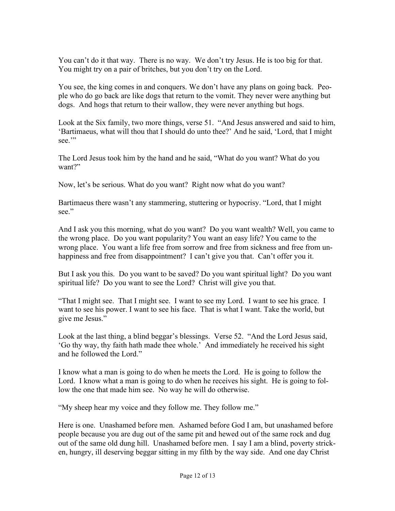You can't do it that way. There is no way. We don't try Jesus. He is too big for that. You might try on a pair of britches, but you don't try on the Lord.

You see, the king comes in and conquers. We don't have any plans on going back. People who do go back are like dogs that return to the vomit. They never were anything but dogs. And hogs that return to their wallow, they were never anything but hogs.

Look at the Six family, two more things, verse 51. "And Jesus answered and said to him, 'Bartimaeus, what will thou that I should do unto thee?' And he said, 'Lord, that I might see."

The Lord Jesus took him by the hand and he said, "What do you want? What do you want?"

Now, let's be serious. What do you want? Right now what do you want?

Bartimaeus there wasn't any stammering, stuttering or hypocrisy. "Lord, that I might see."

And I ask you this morning, what do you want? Do you want wealth? Well, you came to the wrong place. Do you want popularity? You want an easy life? You came to the wrong place. You want a life free from sorrow and free from sickness and free from unhappiness and free from disappointment? I can't give you that. Can't offer you it.

But I ask you this. Do you want to be saved? Do you want spiritual light? Do you want spiritual life? Do you want to see the Lord? Christ will give you that.

"That I might see. That I might see. I want to see my Lord. I want to see his grace. I want to see his power. I want to see his face. That is what I want. Take the world, but give me Jesus."

Look at the last thing, a blind beggar's blessings. Verse 52. "And the Lord Jesus said, 'Go thy way, thy faith hath made thee whole.' And immediately he received his sight and he followed the Lord."

I know what a man is going to do when he meets the Lord. He is going to follow the Lord. I know what a man is going to do when he receives his sight. He is going to follow the one that made him see. No way he will do otherwise.

"My sheep hear my voice and they follow me. They follow me."

Here is one. Unashamed before men. Ashamed before God I am, but unashamed before people because you are dug out of the same pit and hewed out of the same rock and dug out of the same old dung hill. Unashamed before men. I say I am a blind, poverty stricken, hungry, ill deserving beggar sitting in my filth by the way side. And one day Christ